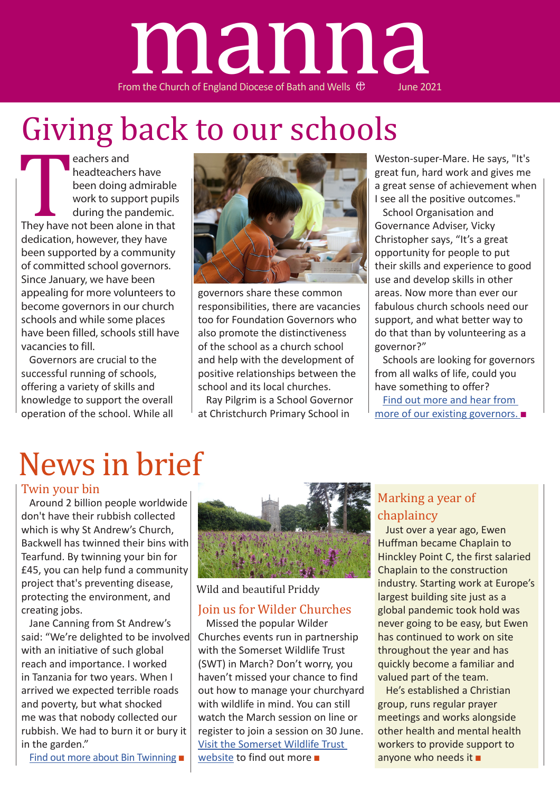

# Giving back to our schools

eachers and<br>
headteacher<br>
been doing a<br>
work to supp<br>
during the p<br>
They have not been alo<br>
dedication, however, th<br>
been supported by a co headteachers have been doing admirable work to support pupils during the pandemic. They have not been alone in that dedication, however, they have been supported by a community of committed school governors. Since January, we have been appealing for more volunteers to become governors in our church schools and while some places have been filled, schools still have vacancies to fill.

Governors are crucial to the successful running of schools, offering a variety of skills and knowledge to support the overall operation of the school. While all



governors share these common responsibilities, there are vacancies too for Foundation Governors who also promote the distinctiveness of the school as a church school and help with the development of positive relationships between the school and its local churches.

Ray Pilgrim is a School Governor at Christchurch Primary School in

Weston-super-Mare. He says, "It's great fun, hard work and gives me a great sense of achievement when I see all the positive outcomes."

School Organisation and Governance Adviser, Vicky Christopher says, "It's a great opportunity for people to put their skills and experience to good use and develop skills in other areas. Now more than ever our fabulous church schools need our support, and what better way to do that than by volunteering as a governor?"

Schools are looking for governors from all walks of life, could you have something to offer?

Find out more and hear from more of our existing governors. ■

# News in brief

#### Twin your bin

Around 2 billion people worldwide don't have their rubbish collected which is why St Andrew's Church, Backwell has twinned their bins with Tearfund. By twinning your bin for £45, you can help fund a community project that's preventing disease, protecting the environment, and creating jobs.

Jane Canning from St Andrew's said: "We're delighted to be involved with an initiative of such global reach and importance. I worked in Tanzania for two years. When I arrived we expected terrible roads and poverty, but what shocked me was that nobody collected our rubbish. We had to burn it or bury it in the garden."

Find out more about Bin Twinning ■



Wild and beautiful Priddy

### Join us for Wilder Churches

Missed the popular Wilder Churches events run in partnership with the Somerset Wildlife Trust (SWT) in March? Don't worry, you haven't missed your chance to find out how to manage your churchyard with wildlife in mind. You can still watch the March session on line or register to join a session on 30 June. Visit the Somerset Wildlife Trust website to find out more ■

### Marking a year of chaplaincy

Just over a year ago, Ewen Huffman became Chaplain to Hinckley Point C, the first salaried Chaplain to the construction industry. Starting work at Europe's largest building site just as a global pandemic took hold was never going to be easy, but Ewen has continued to work on site throughout the year and has quickly become a familiar and valued part of the team.

He's established a Christian group, runs regular prayer meetings and works alongside other health and mental health workers to provide support to anyone who needs it  $\blacksquare$